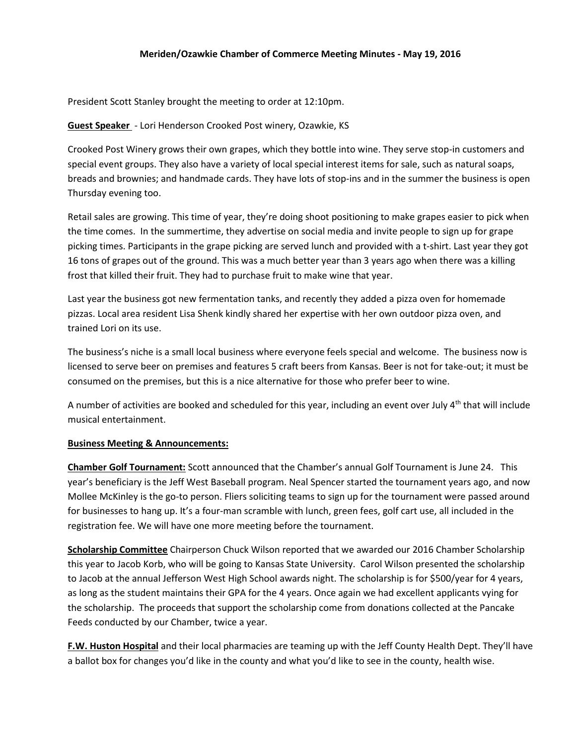## **Meriden/Ozawkie Chamber of Commerce Meeting Minutes - May 19, 2016**

President Scott Stanley brought the meeting to order at 12:10pm.

## **Guest Speaker** - Lori Henderson Crooked Post winery, Ozawkie, KS

Crooked Post Winery grows their own grapes, which they bottle into wine. They serve stop-in customers and special event groups. They also have a variety of local special interest items for sale, such as natural soaps, breads and brownies; and handmade cards. They have lots of stop-ins and in the summer the business is open Thursday evening too.

Retail sales are growing. This time of year, they're doing shoot positioning to make grapes easier to pick when the time comes. In the summertime, they advertise on social media and invite people to sign up for grape picking times. Participants in the grape picking are served lunch and provided with a t-shirt. Last year they got 16 tons of grapes out of the ground. This was a much better year than 3 years ago when there was a killing frost that killed their fruit. They had to purchase fruit to make wine that year.

Last year the business got new fermentation tanks, and recently they added a pizza oven for homemade pizzas. Local area resident Lisa Shenk kindly shared her expertise with her own outdoor pizza oven, and trained Lori on its use.

The business's niche is a small local business where everyone feels special and welcome. The business now is licensed to serve beer on premises and features 5 craft beers from Kansas. Beer is not for take-out; it must be consumed on the premises, but this is a nice alternative for those who prefer beer to wine.

A number of activities are booked and scheduled for this year, including an event over July  $4<sup>th</sup>$  that will include musical entertainment.

## **Business Meeting & Announcements:**

**Chamber Golf Tournament:** Scott announced that the Chamber's annual Golf Tournament is June 24. This year's beneficiary is the Jeff West Baseball program. Neal Spencer started the tournament years ago, and now Mollee McKinley is the go-to person. Fliers soliciting teams to sign up for the tournament were passed around for businesses to hang up. It's a four-man scramble with lunch, green fees, golf cart use, all included in the registration fee. We will have one more meeting before the tournament.

**Scholarship Committee** Chairperson Chuck Wilson reported that we awarded our 2016 Chamber Scholarship this year to Jacob Korb, who will be going to Kansas State University. Carol Wilson presented the scholarship to Jacob at the annual Jefferson West High School awards night. The scholarship is for \$500/year for 4 years, as long as the student maintains their GPA for the 4 years. Once again we had excellent applicants vying for the scholarship. The proceeds that support the scholarship come from donations collected at the Pancake Feeds conducted by our Chamber, twice a year.

**F.W. Huston Hospital** and their local pharmacies are teaming up with the Jeff County Health Dept. They'll have a ballot box for changes you'd like in the county and what you'd like to see in the county, health wise.